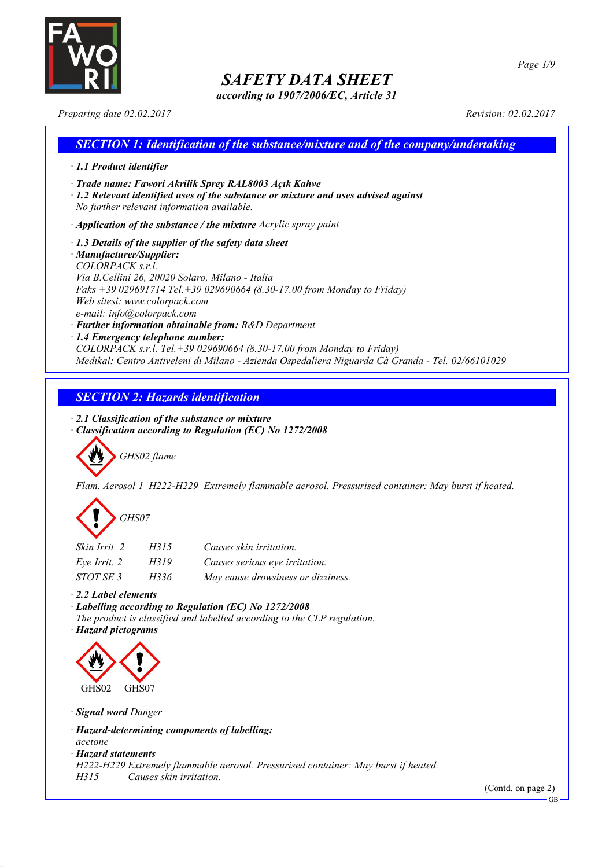

*according to 1907/2006/EC, Article 31*

*Preparing date 02.02.2017 Revision: 02.02.2017*

### *SECTION 1: Identification of the substance/mixture and of the company/undertaking · 1.1 Product identifier · Trade name: Fawori Akrilik Sprey RAL8003 Açık Kahve · 1.2 Relevant identified uses of the substance or mixture and uses advised against No further relevant information available. · Application of the substance / the mixture Acrylic spray paint · 1.3 Details of the supplier of the safety data sheet*

#### *· Manufacturer/Supplier: COLORPACK s.r.l. Via B.Cellini 26, 20020 Solaro, Milano - Italia Faks +39 029691714 Tel.+39 029690664 (8.30-17.00 from Monday to Friday) Web sitesi: www.colorpack.com e-mail: info@colorpack.com · Further information obtainable from: R&D Department*

*· 1.4 Emergency telephone number:*

*COLORPACK s.r.l. Tel.+39 029690664 (8.30-17.00 from Monday to Friday) Medikal: Centro Antiveleni di Milano - Azienda Ospedaliera Niguarda Cà Granda - Tel. 02/66101029*

### *SECTION 2: Hazards identification*

*· 2.1 Classification of the substance or mixture*

*· Classification according to Regulation (EC) No 1272/2008*

*GHS02 flame*

*Flam. Aerosol 1 H222-H229 Extremely flammable aerosol. Pressurised container: May burst if heated.*

# *GHS07*

| Skin Irrit, 2    | H315 | Causes skin irritation.            |
|------------------|------|------------------------------------|
| Eve Irrit. 2     | H319 | Causes serious eye irritation.     |
| <i>STOT SE 3</i> | H336 | May cause drowsiness or dizziness. |

*· 2.2 Label elements*

*· Labelling according to Regulation (EC) No 1272/2008*

*The product is classified and labelled according to the CLP regulation.*

*· Hazard pictograms*



*· Signal word Danger*

*· Hazard-determining components of labelling:*

*acetone*

*· Hazard statements*

*H222-H229 Extremely flammable aerosol. Pressurised container: May burst if heated.*

*H315 Causes skin irritation.*

(Contd. on page 2)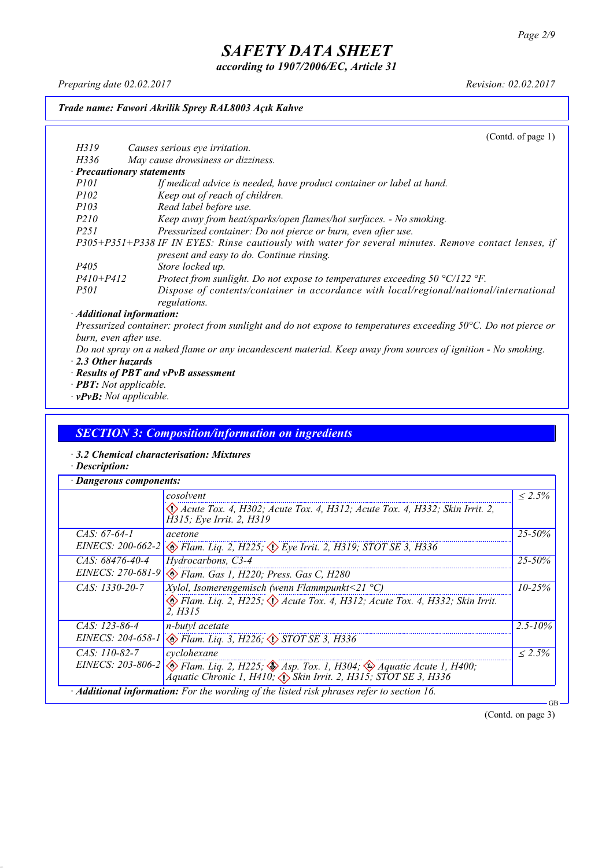*according to 1907/2006/EC, Article 31*

*Preparing date 02.02.2017 Revision: 02.02.2017*

#### *Trade name: Fawori Akrilik Sprey RAL8003 Açık Kahve*

(Contd. of page 1) *H319 Causes serious eye irritation. H336 May cause drowsiness or dizziness. · Precautionary statements P101 If medical advice is needed, have product container or label at hand. P102 Keep out of reach of children. P103 Read label before use. P210 Keep away from heat/sparks/open flames/hot surfaces. - No smoking. P251 Pressurized container: Do not pierce or burn, even after use. P305+P351+P338 IF IN EYES: Rinse cautiously with water for several minutes. Remove contact lenses, if present and easy to do. Continue rinsing. P405 Store locked up. P410+P412 Protect from sunlight. Do not expose to temperatures exceeding 50 °C/122 °F. P501 Dispose of contents/container in accordance with local/regional/national/international regulations. · Additional information:*

Pressurized container: protect from sunlight and do not expose to temperatures exceeding 50°C. Do not pierce or *burn, even after use.*

- Do not spray on a naked flame or any incandescent material. Keep away from sources of ignition No smoking. *· 2.3 Other hazards*
- *· Results of PBT and vPvB assessment*
- *· PBT: Not applicable.*
- *· vPvB: Not applicable.*

#### *SECTION 3: Composition/information on ingredients*

- *· 3.2 Chemical characterisation: Mixtures*
- *· Description:*

|                     | cosolvent                                                                                                                                                                                        | $\leq 2.5\%$ |  |
|---------------------|--------------------------------------------------------------------------------------------------------------------------------------------------------------------------------------------------|--------------|--|
|                     | $\langle \rangle$ Acute Tox. 4, H302; Acute Tox. 4, H312; Acute Tox. 4, H332; Skin Irrit. 2,<br>H315; Eye Irrit. 2, H319                                                                         |              |  |
| $CAS: 67-64-1$      | acetone                                                                                                                                                                                          | $25 - 50\%$  |  |
| EINECS: $200-662-2$ | $\otimes$ Flam. Liq. 2, H225; $\otimes$ Eye Irrit. 2, H319; STOT SE 3, H336                                                                                                                      |              |  |
| $CAS: 68476-40-4$   | Hydrocarbons, C3-4                                                                                                                                                                               | $25 - 50\%$  |  |
|                     | EINECS: 270-681-9 & Flam. Gas 1, H220; Press. Gas C, H280                                                                                                                                        |              |  |
| $CAS: 1330-20-7$    | <i>Xylol, Isomerengemisch (wenn Flammpunkt</i> <21 $^{\circ}$ C)                                                                                                                                 | $10 - 25\%$  |  |
|                     | Elam. Liq. 2, H225; $\Diamond$ Acute Tox. 4, H312; Acute Tox. 4, H332; Skin Irrit.<br>2. H315                                                                                                    |              |  |
| $CAS: 123-86-4$     | n-butyl acetate                                                                                                                                                                                  |              |  |
|                     | EINECS: 204-658-1 & Flam. Liq. 3, H226; STOT SE 3, H336                                                                                                                                          |              |  |
| $CAS: 110-82-7$     | cyclohexane                                                                                                                                                                                      | $\leq 2.5\%$ |  |
|                     | EINECS: 203-806-2 $\otimes$ Flam. Liq. 2, H225; $\otimes$ Asp. Tox. 1, H304; $\otimes$ Aquatic Acute 1, H400;<br>Áquatic Chronic 1, H410, $\langle \rangle$ Skin Irrit. 2, H315; STOT SE 3, H336 |              |  |

(Contd. on page 3)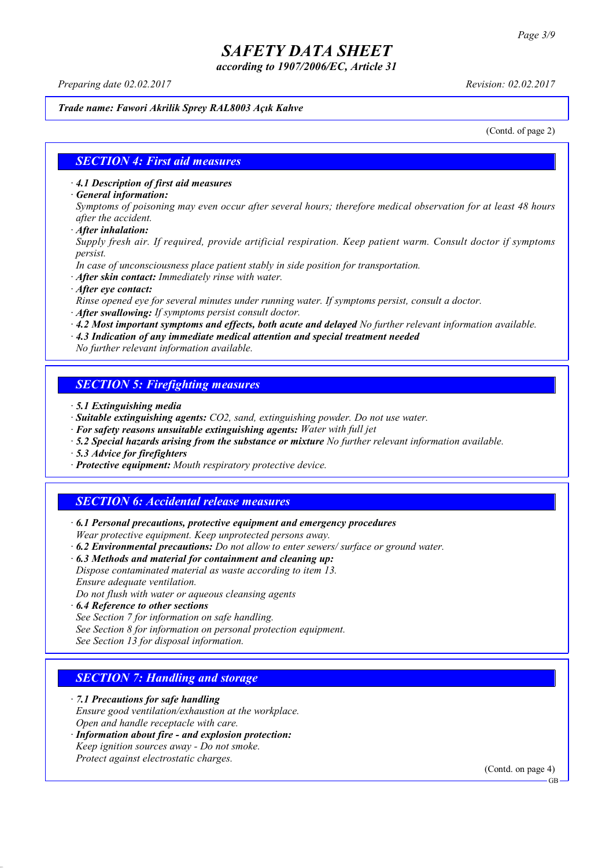*according to 1907/2006/EC, Article 31*

*Preparing date 02.02.2017 Revision: 02.02.2017*

#### *Trade name: Fawori Akrilik Sprey RAL8003 Açık Kahve*

(Contd. of page 2)

### *SECTION 4: First aid measures*

*· 4.1 Description of first aid measures*

*· General information:*

Symptoms of poisoning may even occur after several hours; therefore medical observation for at least 48 hours *after the accident.*

*· After inhalation:*

*Supply fresh air. If required, provide artificial respiration. Keep patient warm. Consult doctor if symptoms persist.*

*In case of unconsciousness place patient stably in side position for transportation.*

- *· After skin contact: Immediately rinse with water.*
- *· After eye contact:*

*Rinse opened eye for several minutes under running water. If symptoms persist, consult a doctor.*

*· After swallowing: If symptoms persist consult doctor.*

*· 4.2 Most important symptoms and effects, both acute and delayed No further relevant information available.*

*· 4.3 Indication of any immediate medical attention and special treatment needed*

*No further relevant information available.*

### *SECTION 5: Firefighting measures*

- *· 5.1 Extinguishing media*
- *· Suitable extinguishing agents: CO2, sand, extinguishing powder. Do not use water.*
- *· For safety reasons unsuitable extinguishing agents: Water with full jet*
- *· 5.2 Special hazards arising from the substance or mixture No further relevant information available.*
- *· 5.3 Advice for firefighters*
- *· Protective equipment: Mouth respiratory protective device.*

### *SECTION 6: Accidental release measures*

*· 6.1 Personal precautions, protective equipment and emergency procedures Wear protective equipment. Keep unprotected persons away.*

*· 6.2 Environmental precautions: Do not allow to enter sewers/ surface or ground water.*

*· 6.3 Methods and material for containment and cleaning up:*

*Dispose contaminated material as waste according to item 13. Ensure adequate ventilation.*

*Do not flush with water or aqueous cleansing agents*

- *· 6.4 Reference to other sections*
- *See Section 7 for information on safe handling.*

*See Section 8 for information on personal protection equipment.*

*See Section 13 for disposal information.*

### *SECTION 7: Handling and storage*

*· 7.1 Precautions for safe handling*

*Ensure good ventilation/exhaustion at the workplace.*

*Open and handle receptacle with care.*

*· Information about fire - and explosion protection: Keep ignition sources away - Do not smoke.*

*Protect against electrostatic charges.*

(Contd. on page 4)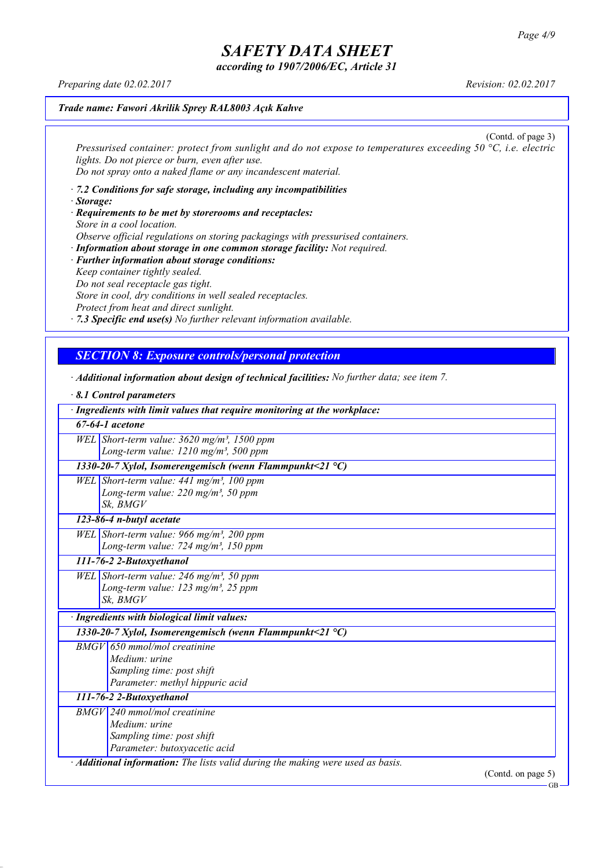*according to 1907/2006/EC, Article 31*

*Preparing date 02.02.2017 Revision: 02.02.2017*

#### *Trade name: Fawori Akrilik Sprey RAL8003 Açık Kahve*

(Contd. of page 3) *Pressurised container: protect from sunlight and do not expose to temperatures exceeding 50 °C, i.e. electric lights. Do not pierce or burn, even after use. Do not spray onto a naked flame or any incandescent material.*

- *· 7.2 Conditions for safe storage, including any incompatibilities · Storage:*
- *· Requirements to be met by storerooms and receptacles: Store in a cool location. Observe official regulations on storing packagings with pressurised containers.*
- *· Information about storage in one common storage facility: Not required. · Further information about storage conditions: Keep container tightly sealed. Do not seal receptacle gas tight. Store in cool, dry conditions in well sealed receptacles. Protect from heat and direct sunlight.*

*· 7.3 Specific end use(s) No further relevant information available.*

### *SECTION 8: Exposure controls/personal protection*

*· Additional information about design of technical facilities: No further data; see item 7.*

| $\cdot$ 8.1 Control parameters                                                  |
|---------------------------------------------------------------------------------|
| · Ingredients with limit values that require monitoring at the workplace:       |
| $67-64-1$ acetone                                                               |
| WEL Short-term value: $3620$ mg/m <sup>3</sup> , 1500 ppm                       |
| Long-term value: $1210$ mg/m <sup>3</sup> , 500 ppm                             |
| 1330-20-7 Xylol, Isomerengemisch (wenn Flammpunkt<21 °C)                        |
| WEL Short-term value: 441 mg/m <sup>3</sup> , 100 ppm                           |
| Long-term value: 220 mg/m <sup>3</sup> , 50 ppm                                 |
| Sk, BMGV                                                                        |
| 123-86-4 n-butyl acetate                                                        |
| WEL Short-term value: 966 mg/m <sup>3</sup> , 200 ppm                           |
| Long-term value: 724 mg/m <sup>3</sup> , 150 ppm                                |
| 111-76-2 2-Butoxyethanol                                                        |
| WEL Short-term value: $246$ mg/m <sup>3</sup> , 50 ppm                          |
| Long-term value: $123$ mg/m <sup>3</sup> , 25 ppm                               |
| Sk. BMGV                                                                        |
| · Ingredients with biological limit values:                                     |
| 1330-20-7 Xylol, Isomerengemisch (wenn Flammpunkt<21 $^{\circ}$ C)              |
| $BMGV$ 650 mmol/mol creatinine                                                  |
| Medium: urine                                                                   |
| Sampling time: post shift                                                       |
| Parameter: methyl hippuric acid                                                 |
| 111-76-2 2-Butoxyethanol                                                        |
| $BMGV$ 240 mmol/mol creatinine                                                  |
| Medium: urine                                                                   |
| Sampling time: post shift                                                       |
| Parameter: butoxyacetic acid                                                    |
| · Additional information: The lists valid during the making were used as basis. |
| (Contd. on page $5$ )                                                           |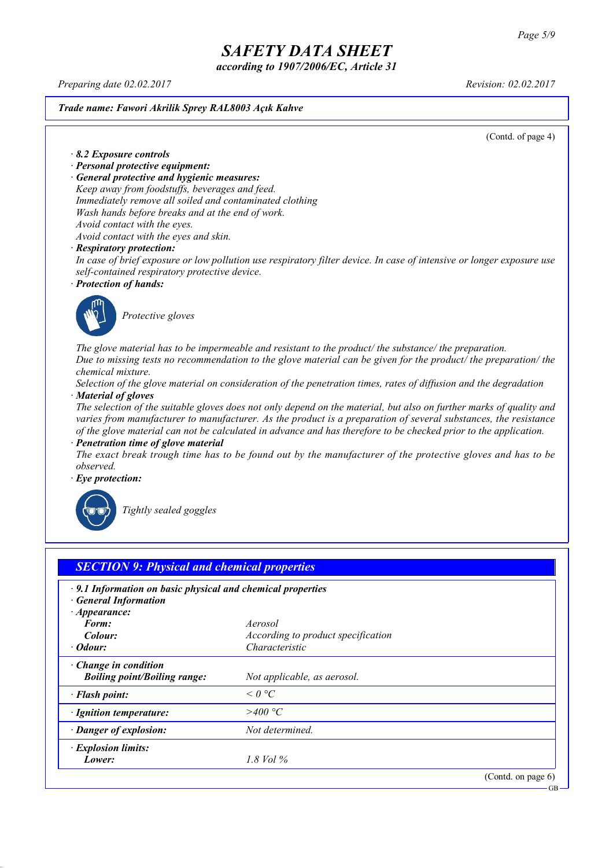*according to 1907/2006/EC, Article 31*

*Preparing date 02.02.2017 Revision: 02.02.2017*

*Trade name: Fawori Akrilik Sprey RAL8003 Açık Kahve*

(Contd. of page 4)

*· 8.2 Exposure controls*

- *· Personal protective equipment:*
- *· General protective and hygienic measures:*

*Keep away from foodstuffs, beverages and feed. Immediately remove all soiled and contaminated clothing*

- *Wash hands before breaks and at the end of work.*
- *Avoid contact with the eyes.*

*Avoid contact with the eyes and skin.*

#### *· Respiratory protection:*

In case of brief exposure or low pollution use respiratory filter device. In case of intensive or longer exposure use *self-contained respiratory protective device.*

*· Protection of hands:*



*Protective gloves*

*The glove material has to be impermeable and resistant to the product/ the substance/ the preparation.* Due to missing tests no recommendation to the glove material can be given for the product/ the preparation/ the *chemical mixture.*

Selection of the glove material on consideration of the penetration times, rates of diffusion and the degradation *· Material of gloves*

The selection of the suitable gloves does not only depend on the material, but also on further marks of quality and *varies from manufacturer to manufacturer. As the product is a preparation of several substances, the resistance* of the glove material can not be calculated in advance and has therefore to be checked prior to the application.

*· Penetration time of glove material*

The exact break trough time has to be found out by the manufacturer of the protective gloves and has to be *observed.*

*· Eye protection:*



*Tightly sealed goggles*

| $\cdot$ 9.1 Information on basic physical and chemical properties |                                    |  |
|-------------------------------------------------------------------|------------------------------------|--|
| <b>General Information</b><br>$\cdot$ Appearance:                 |                                    |  |
| Form:                                                             | Aerosol                            |  |
| Colour:                                                           | According to product specification |  |
| $\cdot$ Odour:                                                    | Characteristic                     |  |
| Change in condition                                               |                                    |  |
| <b>Boiling point/Boiling range:</b>                               | Not applicable, as aerosol.        |  |
| · Flash point:                                                    | $\leq$ 0 °C                        |  |
| · Ignition temperature:                                           | >400 °C                            |  |
| · Danger of explosion:                                            | Not determined.                    |  |
| · Explosion limits:                                               |                                    |  |
| Lower:                                                            | $1.8$ Vol $\%$                     |  |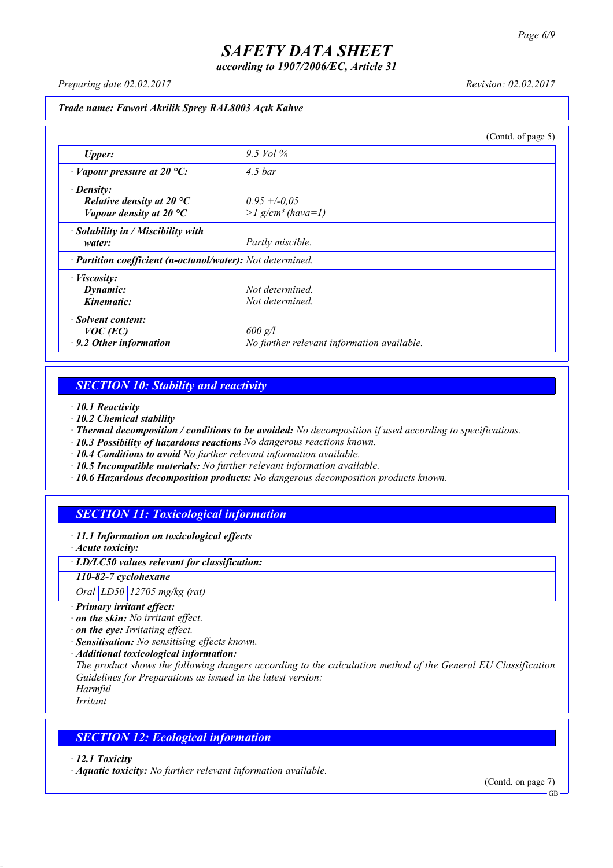*according to 1907/2006/EC, Article 31*

*Preparing date 02.02.2017 Revision: 02.02.2017*

#### *Trade name: Fawori Akrilik Sprey RAL8003 Açık Kahve*

|                                                            |                                            | (Contd. of page 5) |
|------------------------------------------------------------|--------------------------------------------|--------------------|
| <b>Upper:</b>                                              | 9.5 Vol $\%$                               |                    |
| $\cdot$ Vapour pressure at 20 °C:                          | $4.5\,bar$                                 |                    |
| $\cdot$ Density:                                           |                                            |                    |
| Relative density at 20 $^{\circ}C$                         | $0.95 + -0.05$                             |                    |
| Vapour density at 20 $^{\circ}C$                           | $>l$ g/cm <sup>3</sup> (hava=1)            |                    |
| $\cdot$ Solubility in / Miscibility with                   |                                            |                    |
| water:                                                     | Partly miscible.                           |                    |
| · Partition coefficient (n-octanol/water): Not determined. |                                            |                    |
| $\cdot$ <i>Viscosity:</i>                                  |                                            |                    |
| Dynamic:                                                   | Not determined.                            |                    |
| Kinematic:                                                 | Not determined.                            |                    |
| · Solvent content:                                         |                                            |                    |
| $VOC$ (EC)                                                 | $600$ g/l                                  |                    |
| $\cdot$ 9.2 Other information                              | No further relevant information available. |                    |

### *SECTION 10: Stability and reactivity*

*· 10.1 Reactivity*

- *· 10.2 Chemical stability*
- *· Thermal decomposition / conditions to be avoided: No decomposition if used according to specifications.*
- *· 10.3 Possibility of hazardous reactions No dangerous reactions known.*
- *· 10.4 Conditions to avoid No further relevant information available.*
- *· 10.5 Incompatible materials: No further relevant information available.*
- *· 10.6 Hazardous decomposition products: No dangerous decomposition products known.*

### *SECTION 11: Toxicological information*

*· 11.1 Information on toxicological effects*

*· Acute toxicity:*

*· LD/LC50 values relevant for classification:*

*110-82-7 cyclohexane*

*Oral LD50 12705 mg/kg (rat)*

- *· Primary irritant effect:*
- *· on the skin: No irritant effect.*
- *· on the eye: Irritating effect.*
- *· Sensitisation: No sensitising effects known.*
- *· Additional toxicological information:*

*The product shows the following dangers according to the calculation method of the General EU Classification Guidelines for Preparations as issued in the latest version:*

*Harmful Irritant*

### *SECTION 12: Ecological information*

*· 12.1 Toxicity*

*· Aquatic toxicity: No further relevant information available.*

(Contd. on page 7)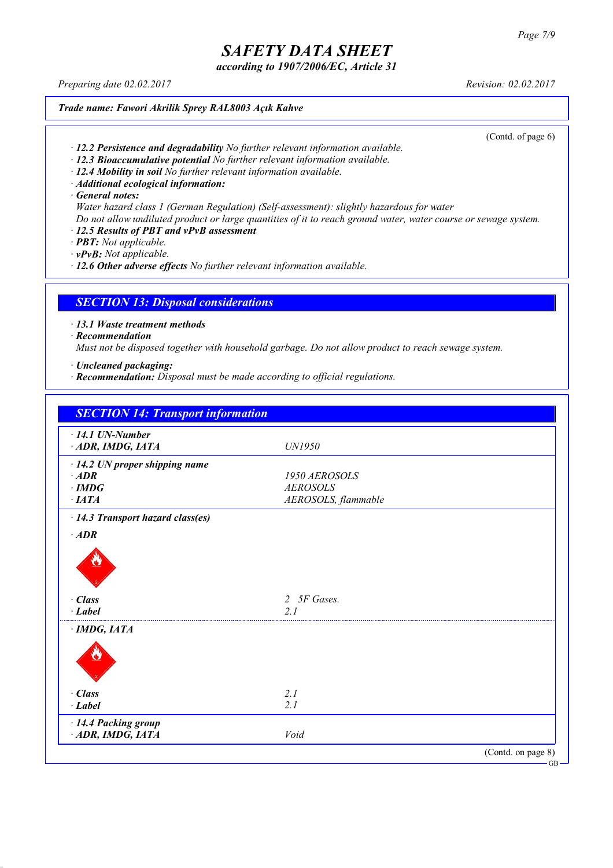*according to 1907/2006/EC, Article 31*

*Preparing date 02.02.2017 Revision: 02.02.2017*

*Trade name: Fawori Akrilik Sprey RAL8003 Açık Kahve*

(Contd. of page 6)

- *· 12.2 Persistence and degradability No further relevant information available.*
- *· 12.3 Bioaccumulative potential No further relevant information available.*
- *· 12.4 Mobility in soil No further relevant information available.*
- *· Additional ecological information:*

*· General notes:*

- *Water hazard class 1 (German Regulation) (Self-assessment): slightly hazardous for water*
- Do not allow undiluted product or large quantities of it to reach ground water, water course or sewage system.
- *· 12.5 Results of PBT and vPvB assessment*
- *· PBT: Not applicable.*

*· vPvB: Not applicable.*

*· 12.6 Other adverse effects No further relevant information available.*

### *SECTION 13: Disposal considerations*

*· 13.1 Waste treatment methods*

*· Recommendation*

*Must not be disposed together with household garbage. Do not allow product to reach sewage system.*

- *· Uncleaned packaging:*
- *· Recommendation: Disposal must be made according to official regulations.*

| $\cdot$ 14.1 UN-Number                  |                     |  |
|-----------------------------------------|---------------------|--|
| ADR, IMDG, IATA                         | UN1950              |  |
| $\cdot$ 14.2 UN proper shipping name    |                     |  |
| $\cdot$ ADR                             | 1950 AEROSOLS       |  |
| $\cdot$ IMDG                            | <b>AEROSOLS</b>     |  |
| $\cdot$ IATA                            | AEROSOLS, flammable |  |
| $\cdot$ 14.3 Transport hazard class(es) |                     |  |
| $\cdot$ ADR                             |                     |  |
|                                         |                     |  |
| · Class<br>$\cdot$ Label                | 2 5F Gases.<br>2.1  |  |
|                                         |                     |  |
| $\cdot$ IMDG, IATA                      |                     |  |
|                                         |                     |  |
| · Class                                 | 2.1                 |  |
| $-Label$                                | 2.1                 |  |
| · 14.4 Packing group                    |                     |  |
| ADR, IMDG, IATA                         | Void                |  |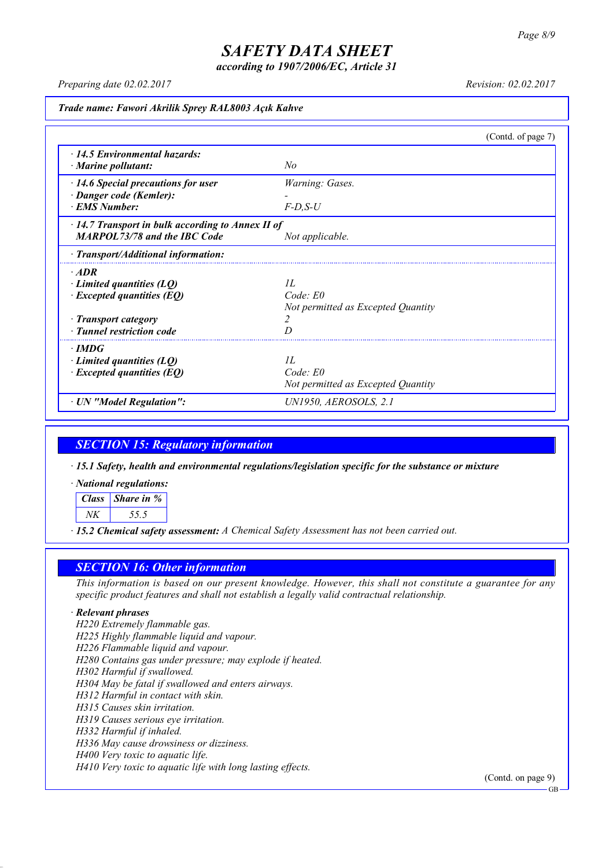*according to 1907/2006/EC, Article 31*

*Preparing date 02.02.2017 Revision: 02.02.2017*

*Trade name: Fawori Akrilik Sprey RAL8003 Açık Kahve*

|                                                         |                                    | (Contd. of page 7) |
|---------------------------------------------------------|------------------------------------|--------------------|
| 14.5 Environmental hazards:                             |                                    |                    |
| $\cdot$ Marine pollutant:                               | No                                 |                    |
| $\cdot$ 14.6 Special precautions for user               | Warning: Gases.                    |                    |
| · Danger code (Kemler):                                 |                                    |                    |
| · EMS Number:                                           | $F-D$ , $S-U$                      |                    |
| $\cdot$ 14.7 Transport in bulk according to Annex II of |                                    |                    |
| <b>MARPOL73/78 and the IBC Code</b>                     | Not applicable.                    |                    |
| $\cdot$ Transport/Additional information:               |                                    |                    |
| $\cdot$ ADR                                             |                                    |                    |
| $\cdot$ Limited quantities (LQ)                         | II.                                |                    |
| $\cdot$ Excepted quantities (EQ)                        | $Code$ $E0$                        |                    |
|                                                         | Not permitted as Excepted Quantity |                    |
| · Transport category                                    | 2                                  |                    |
| · Tunnel restriction code                               |                                    |                    |
| $\cdot$ IMDG                                            |                                    |                    |
| $\cdot$ Limited quantities (LQ)                         | II.                                |                    |
| $\cdot$ Excepted quantities (EQ)                        | Code: E0                           |                    |
|                                                         | Not permitted as Excepted Quantity |                    |
| · UN "Model Regulation":                                | UN1950, AEROSOLS, 2.1              |                    |

### *SECTION 15: Regulatory information*

*· 15.1 Safety, health and environmental regulations/legislation specific for the substance or mixture*

*· National regulations:*

*Class Share in % NK 55.5*

*· 15.2 Chemical safety assessment: A Chemical Safety Assessment has not been carried out.*

### *SECTION 16: Other information*

This information is based on our present knowledge. However, this shall not constitute a guarantee for any *specific product features and shall not establish a legally valid contractual relationship.*

#### *· Relevant phrases*

*H220 Extremely flammable gas. H225 Highly flammable liquid and vapour. H226 Flammable liquid and vapour. H280 Contains gas under pressure; may explode if heated. H302 Harmful if swallowed. H304 May be fatal if swallowed and enters airways. H312 Harmful in contact with skin. H315 Causes skin irritation. H319 Causes serious eye irritation. H332 Harmful if inhaled. H336 May cause drowsiness or dizziness. H400 Very toxic to aquatic life. H410 Very toxic to aquatic life with long lasting effects.*

(Contd. on page 9)